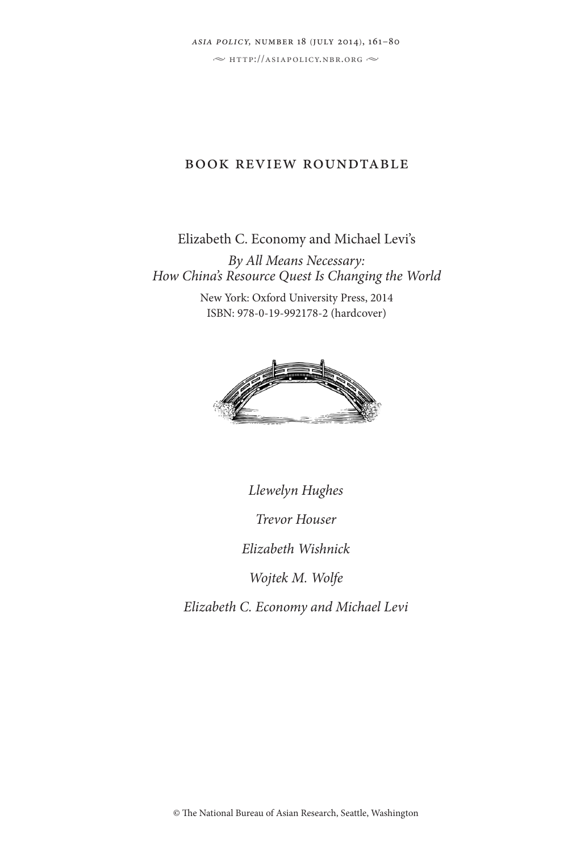$\sim$  http://asiapolicy.nbr.org  $\sim$ 

# book review roundtable

Elizabeth C. Economy and Michael Levi's

*By All Means Necessary: How China's Resource Quest Is Changing the World*

> New York: Oxford University Press, 2014 ISBN: 978-0-19-992178-2 (hardcover)



*Llewelyn Hughes*

*Trevor Houser*

*Elizabeth Wishnick*

*Wojtek M. Wolfe*

*Elizabeth C. Economy and Michael Levi*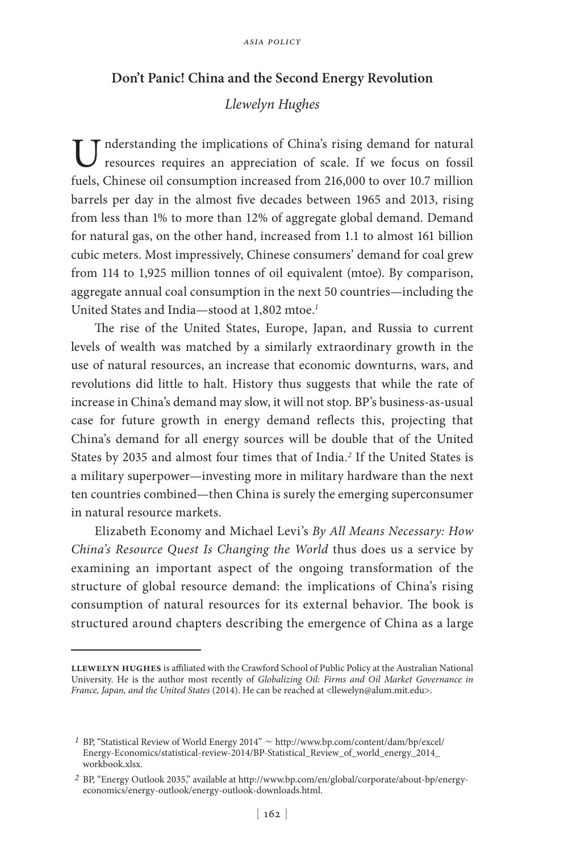#### **Don't Panic! China and the Second Energy Revolution**

### *Llewelyn Hughes*

I I nderstanding the implications of China's rising demand for natural resources requires an appreciation of scale. If we focus on fossil fuels, Chinese oil consumption increased from 216,000 to over 10.7 million barrels per day in the almost five decades between 1965 and 2013, rising from less than 1% to more than 12% of aggregate global demand. Demand for natural gas, on the other hand, increased from 1.1 to almost 161 billion cubic meters. Most impressively, Chinese consumers' demand for coal grew from 114 to 1,925 million tonnes of oil equivalent (mtoe). By comparison, aggregate annual coal consumption in the next 50 countries—including the United States and India—stood at 1,802 mtoe.*<sup>1</sup>*

The rise of the United States, Europe, Japan, and Russia to current levels of wealth was matched by a similarly extraordinary growth in the use of natural resources, an increase that economic downturns, wars, and revolutions did little to halt. History thus suggests that while the rate of increase in China's demand may slow, it will not stop. BP's business-as-usual case for future growth in energy demand reflects this, projecting that China's demand for all energy sources will be double that of the United States by 2035 and almost four times that of India.*<sup>2</sup>* If the United States is a military superpower—investing more in military hardware than the next ten countries combined—then China is surely the emerging superconsumer in natural resource markets.

Elizabeth Economy and Michael Levi's *By All Means Necessary: How China's Resource Quest Is Changing the World* thus does us a service by examining an important aspect of the ongoing transformation of the structure of global resource demand: the implications of China's rising consumption of natural resources for its external behavior. The book is structured around chapters describing the emergence of China as a large

**llewelyn hughes** is affiliated with the Crawford School of Public Policy at the Australian National University. He is the author most recently of *Globalizing Oil: Firms and Oil Market Governance in France, Japan, and the United States* (2014). He can be reached at <llewelyn@alum.mit.edu>.

<sup>&</sup>lt;sup>1</sup> BP, "Statistical Review of World Energy 2014"  $\sim$  http://www.bp.com/content/dam/bp/excel/ Energy-Economics/statistical-review-2014/BP-Statistical\_Review\_of\_world\_energy\_2014\_ workbook.xlsx.

*<sup>2</sup>* BP, "Energy Outlook 2035," available at http://www.bp.com/en/global/corporate/about-bp/energyeconomics/energy-outlook/energy-outlook-downloads.html.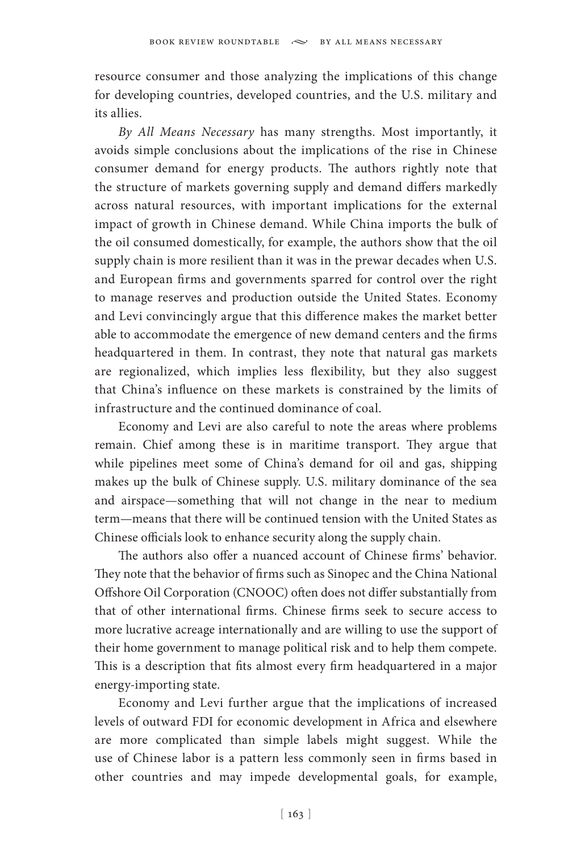resource consumer and those analyzing the implications of this change for developing countries, developed countries, and the U.S. military and its allies.

*By All Means Necessary* has many strengths. Most importantly, it avoids simple conclusions about the implications of the rise in Chinese consumer demand for energy products. The authors rightly note that the structure of markets governing supply and demand differs markedly across natural resources, with important implications for the external impact of growth in Chinese demand. While China imports the bulk of the oil consumed domestically, for example, the authors show that the oil supply chain is more resilient than it was in the prewar decades when U.S. and European firms and governments sparred for control over the right to manage reserves and production outside the United States. Economy and Levi convincingly argue that this difference makes the market better able to accommodate the emergence of new demand centers and the firms headquartered in them. In contrast, they note that natural gas markets are regionalized, which implies less flexibility, but they also suggest that China's influence on these markets is constrained by the limits of infrastructure and the continued dominance of coal.

Economy and Levi are also careful to note the areas where problems remain. Chief among these is in maritime transport. They argue that while pipelines meet some of China's demand for oil and gas, shipping makes up the bulk of Chinese supply. U.S. military dominance of the sea and airspace—something that will not change in the near to medium term—means that there will be continued tension with the United States as Chinese officials look to enhance security along the supply chain.

The authors also offer a nuanced account of Chinese firms' behavior. They note that the behavior of firms such as Sinopec and the China National Offshore Oil Corporation (CNOOC) often does not differ substantially from that of other international firms. Chinese firms seek to secure access to more lucrative acreage internationally and are willing to use the support of their home government to manage political risk and to help them compete. This is a description that fits almost every firm headquartered in a major energy-importing state.

Economy and Levi further argue that the implications of increased levels of outward FDI for economic development in Africa and elsewhere are more complicated than simple labels might suggest. While the use of Chinese labor is a pattern less commonly seen in firms based in other countries and may impede developmental goals, for example,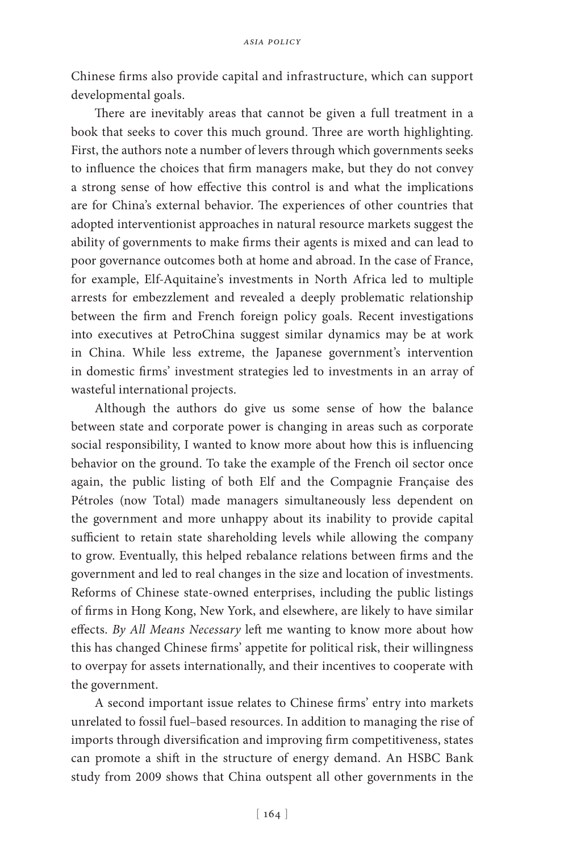Chinese firms also provide capital and infrastructure, which can support developmental goals.

There are inevitably areas that cannot be given a full treatment in a book that seeks to cover this much ground. Three are worth highlighting. First, the authors note a number of levers through which governments seeks to influence the choices that firm managers make, but they do not convey a strong sense of how effective this control is and what the implications are for China's external behavior. The experiences of other countries that adopted interventionist approaches in natural resource markets suggest the ability of governments to make firms their agents is mixed and can lead to poor governance outcomes both at home and abroad. In the case of France, for example, Elf-Aquitaine's investments in North Africa led to multiple arrests for embezzlement and revealed a deeply problematic relationship between the firm and French foreign policy goals. Recent investigations into executives at PetroChina suggest similar dynamics may be at work in China. While less extreme, the Japanese government's intervention in domestic firms' investment strategies led to investments in an array of wasteful international projects.

Although the authors do give us some sense of how the balance between state and corporate power is changing in areas such as corporate social responsibility, I wanted to know more about how this is influencing behavior on the ground. To take the example of the French oil sector once again, the public listing of both Elf and the Compagnie Française des Pétroles (now Total) made managers simultaneously less dependent on the government and more unhappy about its inability to provide capital sufficient to retain state shareholding levels while allowing the company to grow. Eventually, this helped rebalance relations between firms and the government and led to real changes in the size and location of investments. Reforms of Chinese state-owned enterprises, including the public listings of firms in Hong Kong, New York, and elsewhere, are likely to have similar effects. *By All Means Necessary* left me wanting to know more about how this has changed Chinese firms' appetite for political risk, their willingness to overpay for assets internationally, and their incentives to cooperate with the government.

A second important issue relates to Chinese firms' entry into markets unrelated to fossil fuel–based resources. In addition to managing the rise of imports through diversification and improving firm competitiveness, states can promote a shift in the structure of energy demand. An HSBC Bank study from 2009 shows that China outspent all other governments in the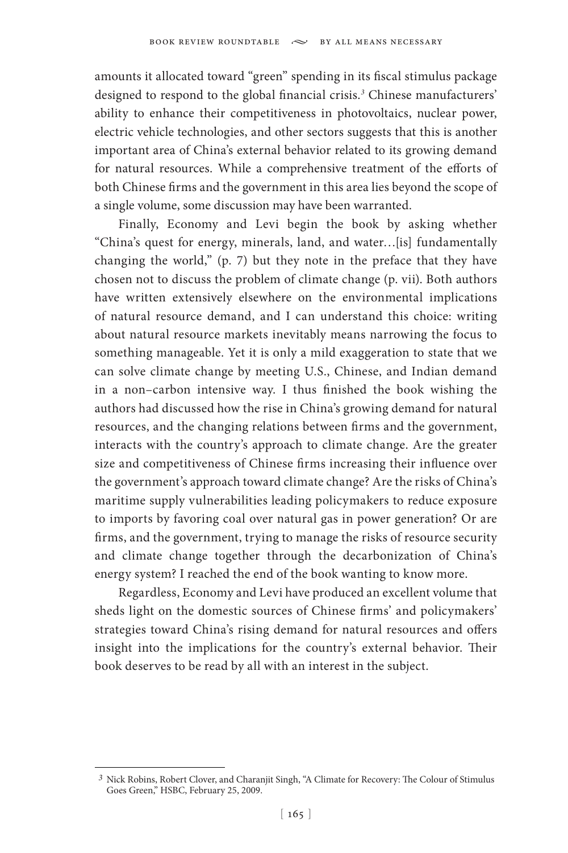amounts it allocated toward "green" spending in its fiscal stimulus package designed to respond to the global financial crisis.*<sup>3</sup>* Chinese manufacturers' ability to enhance their competitiveness in photovoltaics, nuclear power, electric vehicle technologies, and other sectors suggests that this is another important area of China's external behavior related to its growing demand for natural resources. While a comprehensive treatment of the efforts of both Chinese firms and the government in this area lies beyond the scope of a single volume, some discussion may have been warranted.

Finally, Economy and Levi begin the book by asking whether "China's quest for energy, minerals, land, and water…[is] fundamentally changing the world," (p. 7) but they note in the preface that they have chosen not to discuss the problem of climate change (p. vii). Both authors have written extensively elsewhere on the environmental implications of natural resource demand, and I can understand this choice: writing about natural resource markets inevitably means narrowing the focus to something manageable. Yet it is only a mild exaggeration to state that we can solve climate change by meeting U.S., Chinese, and Indian demand in a non–carbon intensive way. I thus finished the book wishing the authors had discussed how the rise in China's growing demand for natural resources, and the changing relations between firms and the government, interacts with the country's approach to climate change. Are the greater size and competitiveness of Chinese firms increasing their influence over the government's approach toward climate change? Are the risks of China's maritime supply vulnerabilities leading policymakers to reduce exposure to imports by favoring coal over natural gas in power generation? Or are firms, and the government, trying to manage the risks of resource security and climate change together through the decarbonization of China's energy system? I reached the end of the book wanting to know more.

Regardless, Economy and Levi have produced an excellent volume that sheds light on the domestic sources of Chinese firms' and policymakers' strategies toward China's rising demand for natural resources and offers insight into the implications for the country's external behavior. Their book deserves to be read by all with an interest in the subject.

*<sup>3</sup>* Nick Robins, Robert Clover, and Charanjit Singh, "A Climate for Recovery: The Colour of Stimulus Goes Green," HSBC, February 25, 2009.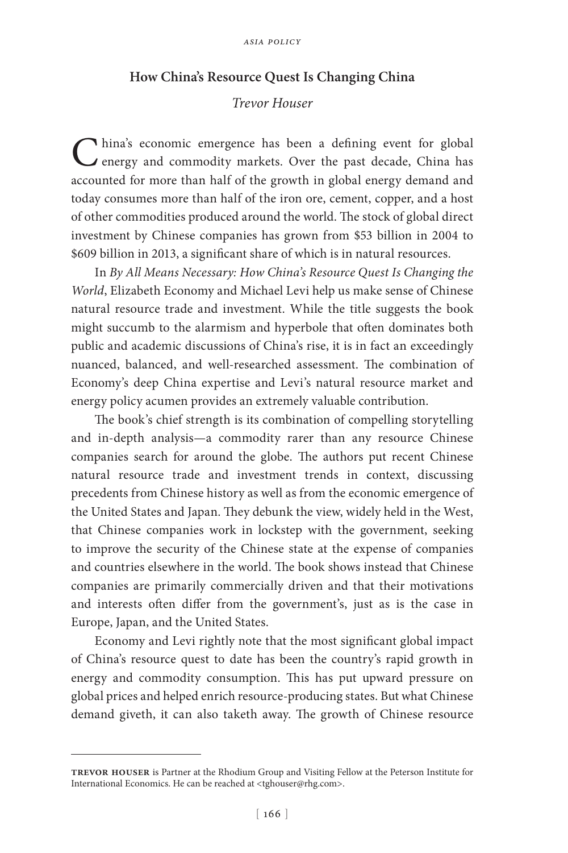#### **How China's Resource Quest Is Changing China**

## *Trevor Houser*

 $\nabla$  hina's economic emergence has been a defining event for global energy and commodity markets. Over the past decade, China has accounted for more than half of the growth in global energy demand and today consumes more than half of the iron ore, cement, copper, and a host of other commodities produced around the world. The stock of global direct investment by Chinese companies has grown from \$53 billion in 2004 to \$609 billion in 2013, a significant share of which is in natural resources.

In *By All Means Necessary: How China's Resource Quest Is Changing the World*, Elizabeth Economy and Michael Levi help us make sense of Chinese natural resource trade and investment. While the title suggests the book might succumb to the alarmism and hyperbole that often dominates both public and academic discussions of China's rise, it is in fact an exceedingly nuanced, balanced, and well-researched assessment. The combination of Economy's deep China expertise and Levi's natural resource market and energy policy acumen provides an extremely valuable contribution.

The book's chief strength is its combination of compelling storytelling and in-depth analysis—a commodity rarer than any resource Chinese companies search for around the globe. The authors put recent Chinese natural resource trade and investment trends in context, discussing precedents from Chinese history as well as from the economic emergence of the United States and Japan. They debunk the view, widely held in the West, that Chinese companies work in lockstep with the government, seeking to improve the security of the Chinese state at the expense of companies and countries elsewhere in the world. The book shows instead that Chinese companies are primarily commercially driven and that their motivations and interests often differ from the government's, just as is the case in Europe, Japan, and the United States.

Economy and Levi rightly note that the most significant global impact of China's resource quest to date has been the country's rapid growth in energy and commodity consumption. This has put upward pressure on global prices and helped enrich resource-producing states. But what Chinese demand giveth, it can also taketh away. The growth of Chinese resource

**trevor houser** is Partner at the Rhodium Group and Visiting Fellow at the Peterson Institute for International Economics. He can be reached at <tghouser@rhg.com>.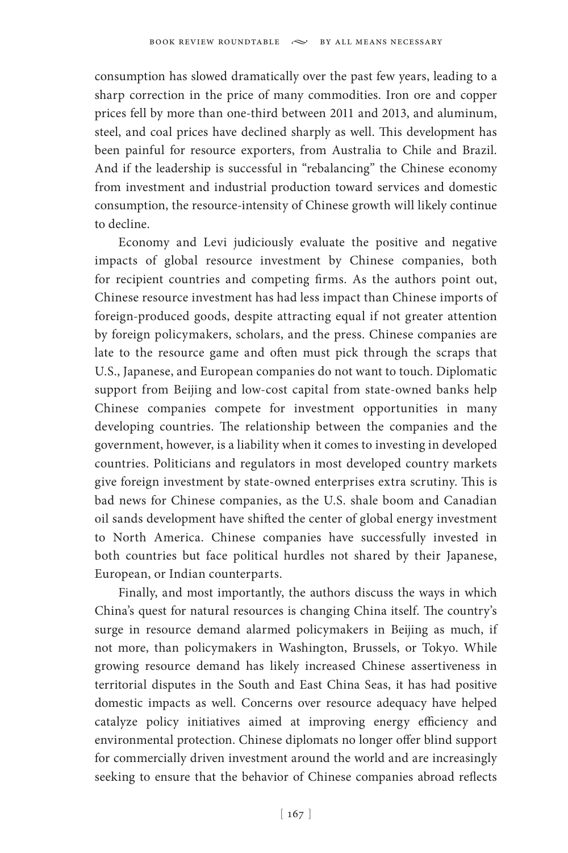consumption has slowed dramatically over the past few years, leading to a sharp correction in the price of many commodities. Iron ore and copper prices fell by more than one-third between 2011 and 2013, and aluminum, steel, and coal prices have declined sharply as well. This development has been painful for resource exporters, from Australia to Chile and Brazil. And if the leadership is successful in "rebalancing" the Chinese economy from investment and industrial production toward services and domestic consumption, the resource-intensity of Chinese growth will likely continue to decline.

Economy and Levi judiciously evaluate the positive and negative impacts of global resource investment by Chinese companies, both for recipient countries and competing firms. As the authors point out, Chinese resource investment has had less impact than Chinese imports of foreign-produced goods, despite attracting equal if not greater attention by foreign policymakers, scholars, and the press. Chinese companies are late to the resource game and often must pick through the scraps that U.S., Japanese, and European companies do not want to touch. Diplomatic support from Beijing and low-cost capital from state-owned banks help Chinese companies compete for investment opportunities in many developing countries. The relationship between the companies and the government, however, is a liability when it comes to investing in developed countries. Politicians and regulators in most developed country markets give foreign investment by state-owned enterprises extra scrutiny. This is bad news for Chinese companies, as the U.S. shale boom and Canadian oil sands development have shifted the center of global energy investment to North America. Chinese companies have successfully invested in both countries but face political hurdles not shared by their Japanese, European, or Indian counterparts.

Finally, and most importantly, the authors discuss the ways in which China's quest for natural resources is changing China itself. The country's surge in resource demand alarmed policymakers in Beijing as much, if not more, than policymakers in Washington, Brussels, or Tokyo. While growing resource demand has likely increased Chinese assertiveness in territorial disputes in the South and East China Seas, it has had positive domestic impacts as well. Concerns over resource adequacy have helped catalyze policy initiatives aimed at improving energy efficiency and environmental protection. Chinese diplomats no longer offer blind support for commercially driven investment around the world and are increasingly seeking to ensure that the behavior of Chinese companies abroad reflects

 $\lceil 167 \rceil$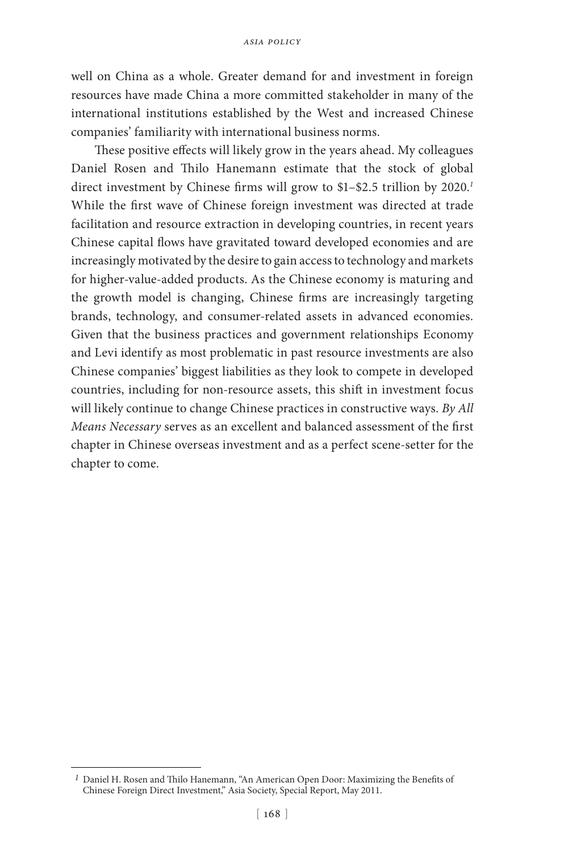well on China as a whole. Greater demand for and investment in foreign resources have made China a more committed stakeholder in many of the international institutions established by the West and increased Chinese companies' familiarity with international business norms.

These positive effects will likely grow in the years ahead. My colleagues Daniel Rosen and Thilo Hanemann estimate that the stock of global direct investment by Chinese firms will grow to \$1–\$2.5 trillion by 2020.*<sup>1</sup>* While the first wave of Chinese foreign investment was directed at trade facilitation and resource extraction in developing countries, in recent years Chinese capital flows have gravitated toward developed economies and are increasingly motivated by the desire to gain access to technology and markets for higher-value-added products. As the Chinese economy is maturing and the growth model is changing, Chinese firms are increasingly targeting brands, technology, and consumer-related assets in advanced economies. Given that the business practices and government relationships Economy and Levi identify as most problematic in past resource investments are also Chinese companies' biggest liabilities as they look to compete in developed countries, including for non-resource assets, this shift in investment focus will likely continue to change Chinese practices in constructive ways. *By All Means Necessary* serves as an excellent and balanced assessment of the first chapter in Chinese overseas investment and as a perfect scene-setter for the chapter to come.

*<sup>1</sup>* Daniel H. Rosen and Thilo Hanemann, "An American Open Door: Maximizing the Benefits of Chinese Foreign Direct Investment," Asia Society, Special Report, May 2011.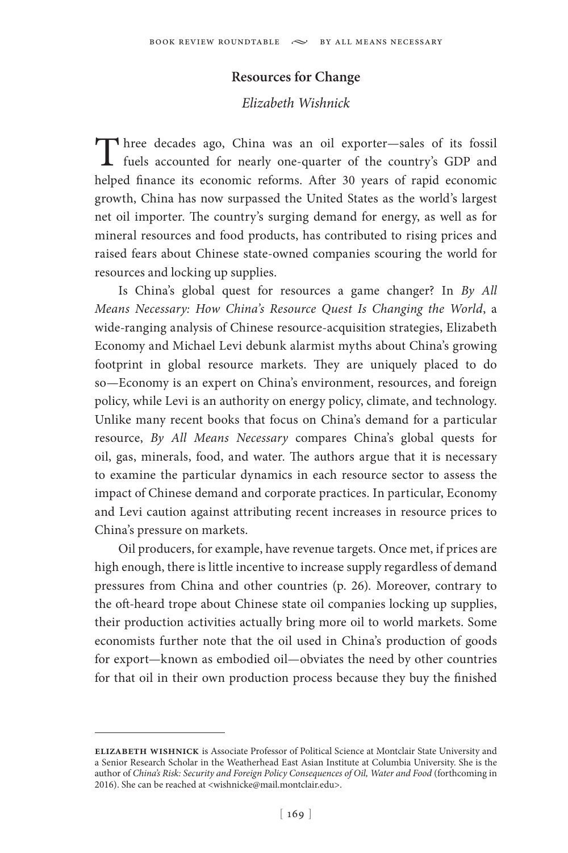#### **Resources for Change**

## *Elizabeth Wishnick*

Three decades ago, China was an oil exporter—sales of its fossil **L** fuels accounted for nearly one-quarter of the country's GDP and helped finance its economic reforms. After 30 years of rapid economic growth, China has now surpassed the United States as the world's largest net oil importer. The country's surging demand for energy, as well as for mineral resources and food products, has contributed to rising prices and raised fears about Chinese state-owned companies scouring the world for resources and locking up supplies.

Is China's global quest for resources a game changer? In *By All Means Necessary: How China's Resource Quest Is Changing the World*, a wide-ranging analysis of Chinese resource-acquisition strategies, Elizabeth Economy and Michael Levi debunk alarmist myths about China's growing footprint in global resource markets. They are uniquely placed to do so—Economy is an expert on China's environment, resources, and foreign policy, while Levi is an authority on energy policy, climate, and technology. Unlike many recent books that focus on China's demand for a particular resource, *By All Means Necessary* compares China's global quests for oil, gas, minerals, food, and water. The authors argue that it is necessary to examine the particular dynamics in each resource sector to assess the impact of Chinese demand and corporate practices. In particular, Economy and Levi caution against attributing recent increases in resource prices to China's pressure on markets.

Oil producers, for example, have revenue targets. Once met, if prices are high enough, there is little incentive to increase supply regardless of demand pressures from China and other countries (p. 26). Moreover, contrary to the oft-heard trope about Chinese state oil companies locking up supplies, their production activities actually bring more oil to world markets. Some economists further note that the oil used in China's production of goods for export—known as embodied oil—obviates the need by other countries for that oil in their own production process because they buy the finished

**elizabeth wishnick** is Associate Professor of Political Science at Montclair State University and a Senior Research Scholar in the Weatherhead East Asian Institute at Columbia University. She is the author of *China's Risk: Security and Foreign Policy Consequences of Oil, Water and Food* (forthcoming in 2016). She can be reached at <wishnicke@mail.montclair.edu>.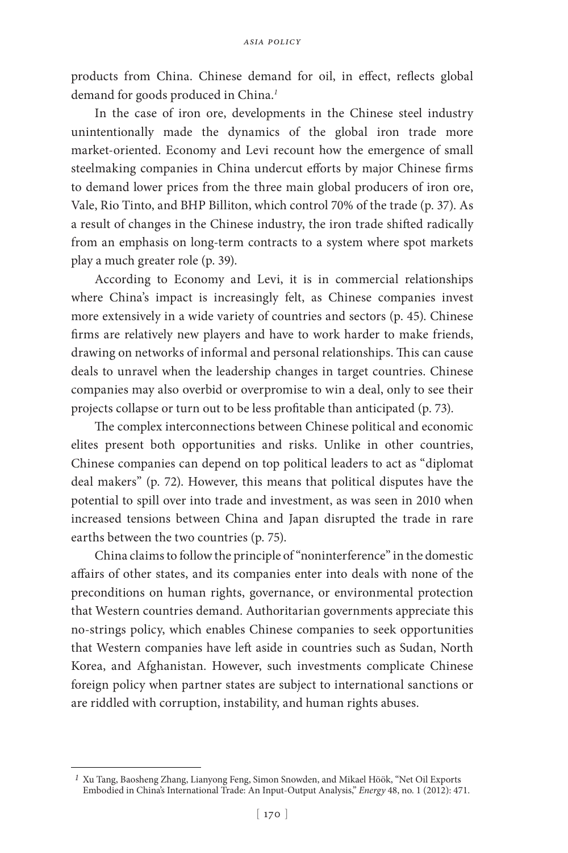products from China. Chinese demand for oil, in effect, reflects global demand for goods produced in China.*<sup>1</sup>*

In the case of iron ore, developments in the Chinese steel industry unintentionally made the dynamics of the global iron trade more market-oriented. Economy and Levi recount how the emergence of small steelmaking companies in China undercut efforts by major Chinese firms to demand lower prices from the three main global producers of iron ore, Vale, Rio Tinto, and BHP Billiton, which control 70% of the trade (p. 37). As a result of changes in the Chinese industry, the iron trade shifted radically from an emphasis on long-term contracts to a system where spot markets play a much greater role (p. 39).

According to Economy and Levi, it is in commercial relationships where China's impact is increasingly felt, as Chinese companies invest more extensively in a wide variety of countries and sectors (p. 45). Chinese firms are relatively new players and have to work harder to make friends, drawing on networks of informal and personal relationships. This can cause deals to unravel when the leadership changes in target countries. Chinese companies may also overbid or overpromise to win a deal, only to see their projects collapse or turn out to be less profitable than anticipated (p. 73).

The complex interconnections between Chinese political and economic elites present both opportunities and risks. Unlike in other countries, Chinese companies can depend on top political leaders to act as "diplomat deal makers" (p. 72). However, this means that political disputes have the potential to spill over into trade and investment, as was seen in 2010 when increased tensions between China and Japan disrupted the trade in rare earths between the two countries (p. 75).

China claims to follow the principle of "noninterference" in the domestic affairs of other states, and its companies enter into deals with none of the preconditions on human rights, governance, or environmental protection that Western countries demand. Authoritarian governments appreciate this no-strings policy, which enables Chinese companies to seek opportunities that Western companies have left aside in countries such as Sudan, North Korea, and Afghanistan. However, such investments complicate Chinese foreign policy when partner states are subject to international sanctions or are riddled with corruption, instability, and human rights abuses.

*<sup>1</sup>* Xu Tang, Baosheng Zhang, Lianyong Feng, Simon Snowden, and Mikael Höök, "Net Oil Exports Embodied in China's International Trade: An Input-Output Analysis," *Energy* 48, no. 1 (2012): 471.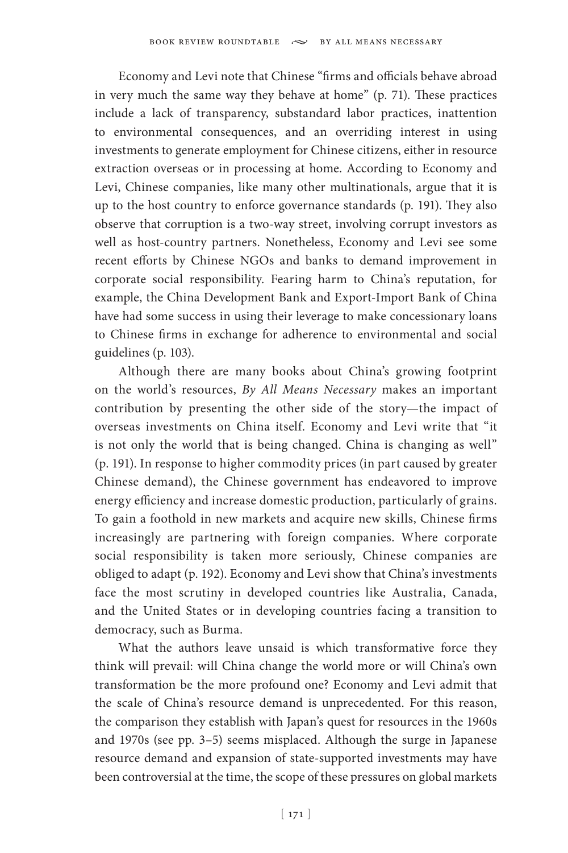Economy and Levi note that Chinese "firms and officials behave abroad in very much the same way they behave at home" (p. 71). These practices include a lack of transparency, substandard labor practices, inattention to environmental consequences, and an overriding interest in using investments to generate employment for Chinese citizens, either in resource extraction overseas or in processing at home. According to Economy and Levi, Chinese companies, like many other multinationals, argue that it is up to the host country to enforce governance standards (p. 191). They also observe that corruption is a two-way street, involving corrupt investors as well as host-country partners. Nonetheless, Economy and Levi see some recent efforts by Chinese NGOs and banks to demand improvement in corporate social responsibility. Fearing harm to China's reputation, for example, the China Development Bank and Export-Import Bank of China have had some success in using their leverage to make concessionary loans to Chinese firms in exchange for adherence to environmental and social guidelines (p. 103).

Although there are many books about China's growing footprint on the world's resources, *By All Means Necessary* makes an important contribution by presenting the other side of the story—the impact of overseas investments on China itself. Economy and Levi write that "it is not only the world that is being changed. China is changing as well" (p. 191). In response to higher commodity prices (in part caused by greater Chinese demand), the Chinese government has endeavored to improve energy efficiency and increase domestic production, particularly of grains. To gain a foothold in new markets and acquire new skills, Chinese firms increasingly are partnering with foreign companies. Where corporate social responsibility is taken more seriously, Chinese companies are obliged to adapt (p. 192). Economy and Levi show that China's investments face the most scrutiny in developed countries like Australia, Canada, and the United States or in developing countries facing a transition to democracy, such as Burma.

What the authors leave unsaid is which transformative force they think will prevail: will China change the world more or will China's own transformation be the more profound one? Economy and Levi admit that the scale of China's resource demand is unprecedented. For this reason, the comparison they establish with Japan's quest for resources in the 1960s and 1970s (see pp. 3–5) seems misplaced. Although the surge in Japanese resource demand and expansion of state-supported investments may have been controversial at the time, the scope of these pressures on global markets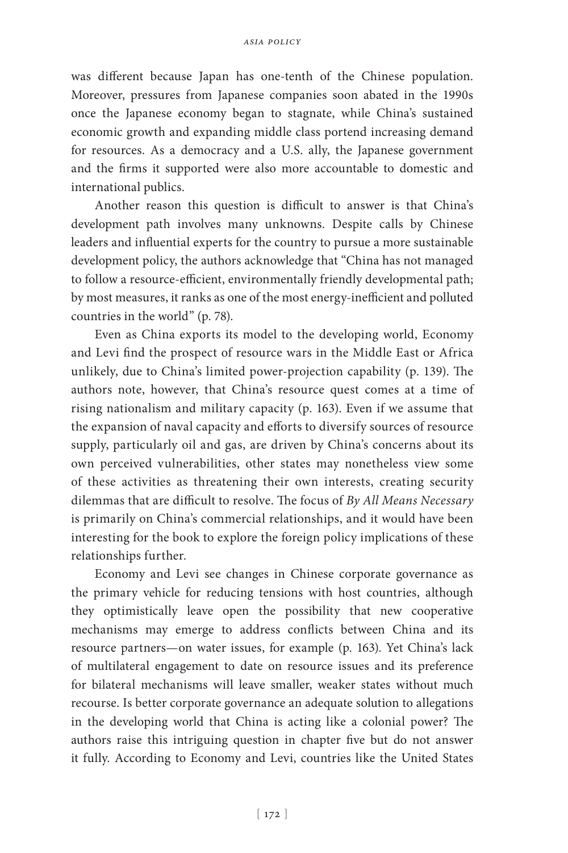was different because Japan has one-tenth of the Chinese population. Moreover, pressures from Japanese companies soon abated in the 1990s once the Japanese economy began to stagnate, while China's sustained economic growth and expanding middle class portend increasing demand for resources. As a democracy and a U.S. ally, the Japanese government and the firms it supported were also more accountable to domestic and international publics.

Another reason this question is difficult to answer is that China's development path involves many unknowns. Despite calls by Chinese leaders and influential experts for the country to pursue a more sustainable development policy, the authors acknowledge that "China has not managed to follow a resource-efficient, environmentally friendly developmental path; by most measures, it ranks as one of the most energy-inefficient and polluted countries in the world" (p. 78).

Even as China exports its model to the developing world, Economy and Levi find the prospect of resource wars in the Middle East or Africa unlikely, due to China's limited power-projection capability (p. 139). The authors note, however, that China's resource quest comes at a time of rising nationalism and military capacity (p. 163). Even if we assume that the expansion of naval capacity and efforts to diversify sources of resource supply, particularly oil and gas, are driven by China's concerns about its own perceived vulnerabilities, other states may nonetheless view some of these activities as threatening their own interests, creating security dilemmas that are difficult to resolve. The focus of *By All Means Necessary*  is primarily on China's commercial relationships, and it would have been interesting for the book to explore the foreign policy implications of these relationships further.

Economy and Levi see changes in Chinese corporate governance as the primary vehicle for reducing tensions with host countries, although they optimistically leave open the possibility that new cooperative mechanisms may emerge to address conflicts between China and its resource partners—on water issues, for example (p. 163). Yet China's lack of multilateral engagement to date on resource issues and its preference for bilateral mechanisms will leave smaller, weaker states without much recourse. Is better corporate governance an adequate solution to allegations in the developing world that China is acting like a colonial power? The authors raise this intriguing question in chapter five but do not answer it fully. According to Economy and Levi, countries like the United States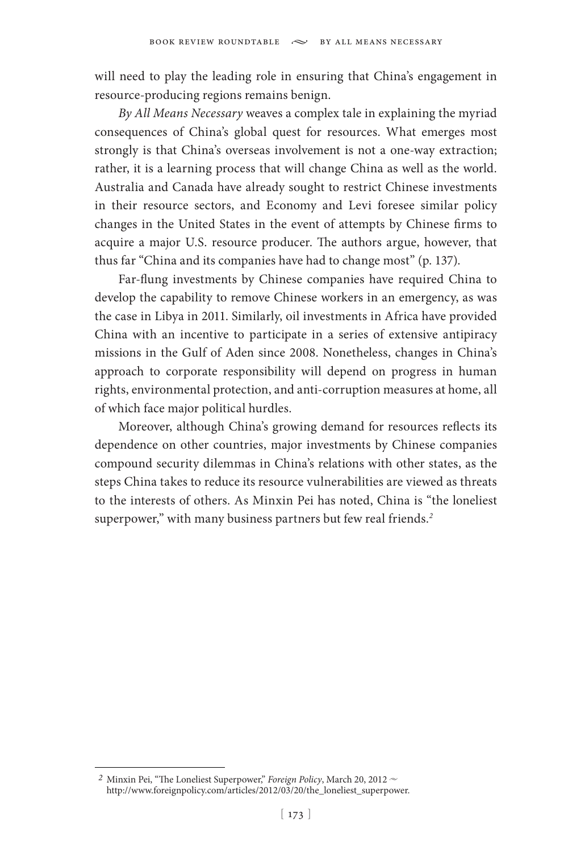will need to play the leading role in ensuring that China's engagement in resource-producing regions remains benign.

*By All Means Necessary* weaves a complex tale in explaining the myriad consequences of China's global quest for resources. What emerges most strongly is that China's overseas involvement is not a one-way extraction; rather, it is a learning process that will change China as well as the world. Australia and Canada have already sought to restrict Chinese investments in their resource sectors, and Economy and Levi foresee similar policy changes in the United States in the event of attempts by Chinese firms to acquire a major U.S. resource producer. The authors argue, however, that thus far "China and its companies have had to change most" (p. 137).

Far-flung investments by Chinese companies have required China to develop the capability to remove Chinese workers in an emergency, as was the case in Libya in 2011. Similarly, oil investments in Africa have provided China with an incentive to participate in a series of extensive antipiracy missions in the Gulf of Aden since 2008. Nonetheless, changes in China's approach to corporate responsibility will depend on progress in human rights, environmental protection, and anti-corruption measures at home, all of which face major political hurdles.

Moreover, although China's growing demand for resources reflects its dependence on other countries, major investments by Chinese companies compound security dilemmas in China's relations with other states, as the steps China takes to reduce its resource vulnerabilities are viewed as threats to the interests of others. As Minxin Pei has noted, China is "the loneliest superpower," with many business partners but few real friends.*<sup>2</sup>*

*<sup>2</sup>* Minxin Pei, "The Loneliest Superpower," *Foreign Policy*, March 20, 2012 <sup>u</sup> http://www.foreignpolicy.com/articles/2012/03/20/the\_loneliest\_superpower.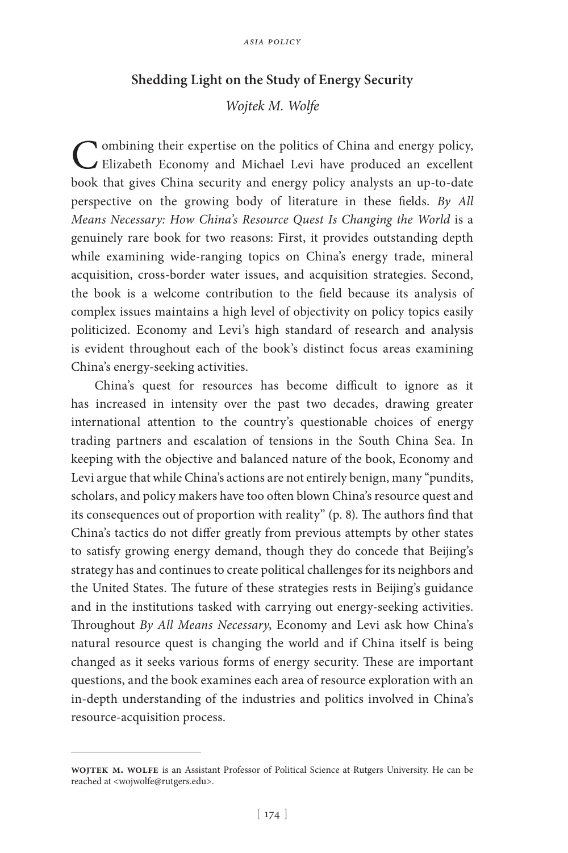#### **Shedding Light on the Study of Energy Security**

### *Wojtek M. Wolfe*

Combining their expertise on the politics of China and energy policy, Elizabeth Economy and Michael Levi have produced an excellent book that gives China security and energy policy analysts an up-to-date perspective on the growing body of literature in these fields. *By All Means Necessary: How China's Resource Quest Is Changing the World* is a genuinely rare book for two reasons: First, it provides outstanding depth while examining wide-ranging topics on China's energy trade, mineral acquisition, cross-border water issues, and acquisition strategies. Second, the book is a welcome contribution to the field because its analysis of complex issues maintains a high level of objectivity on policy topics easily politicized. Economy and Levi's high standard of research and analysis is evident throughout each of the book's distinct focus areas examining China's energy-seeking activities.

China's quest for resources has become difficult to ignore as it has increased in intensity over the past two decades, drawing greater international attention to the country's questionable choices of energy trading partners and escalation of tensions in the South China Sea. In keeping with the objective and balanced nature of the book, Economy and Levi argue that while China's actions are not entirely benign, many "pundits, scholars, and policy makers have too often blown China's resource quest and its consequences out of proportion with reality" (p. 8). The authors find that China's tactics do not differ greatly from previous attempts by other states to satisfy growing energy demand, though they do concede that Beijing's strategy has and continues to create political challenges for its neighbors and the United States. The future of these strategies rests in Beijing's guidance and in the institutions tasked with carrying out energy-seeking activities. Throughout *By All Means Necessary*, Economy and Levi ask how China's natural resource quest is changing the world and if China itself is being changed as it seeks various forms of energy security. These are important questions, and the book examines each area of resource exploration with an in-depth understanding of the industries and politics involved in China's resource-acquisition process.

**wojtek m. wolfe** is an Assistant Professor of Political Science at Rutgers University. He can be reached at <wojwolfe@rutgers.edu>.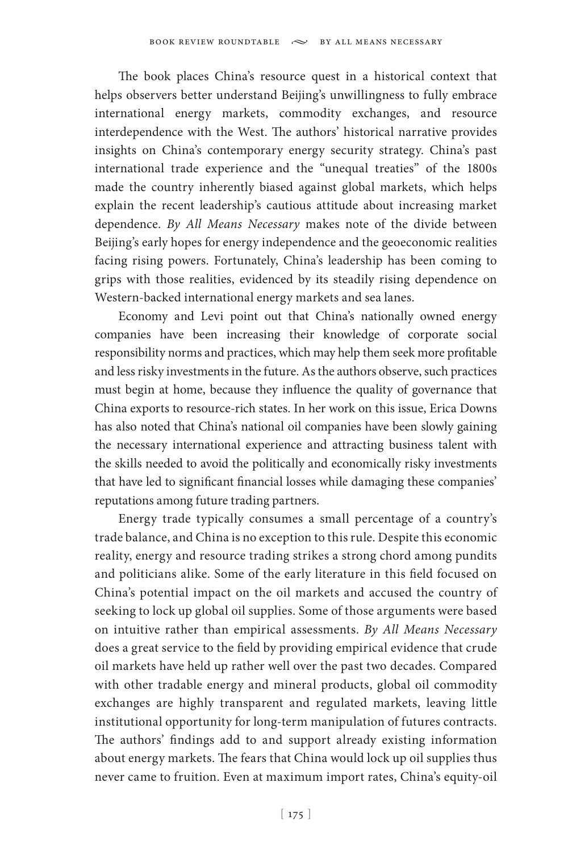The book places China's resource quest in a historical context that helps observers better understand Beijing's unwillingness to fully embrace international energy markets, commodity exchanges, and resource interdependence with the West. The authors' historical narrative provides insights on China's contemporary energy security strategy. China's past international trade experience and the "unequal treaties" of the 1800s made the country inherently biased against global markets, which helps explain the recent leadership's cautious attitude about increasing market dependence. *By All Means Necessary* makes note of the divide between Beijing's early hopes for energy independence and the geoeconomic realities facing rising powers. Fortunately, China's leadership has been coming to grips with those realities, evidenced by its steadily rising dependence on Western-backed international energy markets and sea lanes.

Economy and Levi point out that China's nationally owned energy companies have been increasing their knowledge of corporate social responsibility norms and practices, which may help them seek more profitable and less risky investments in the future. As the authors observe, such practices must begin at home, because they influence the quality of governance that China exports to resource-rich states. In her work on this issue, Erica Downs has also noted that China's national oil companies have been slowly gaining the necessary international experience and attracting business talent with the skills needed to avoid the politically and economically risky investments that have led to significant financial losses while damaging these companies' reputations among future trading partners.

Energy trade typically consumes a small percentage of a country's trade balance, and China is no exception to this rule. Despite this economic reality, energy and resource trading strikes a strong chord among pundits and politicians alike. Some of the early literature in this field focused on China's potential impact on the oil markets and accused the country of seeking to lock up global oil supplies. Some of those arguments were based on intuitive rather than empirical assessments. *By All Means Necessary* does a great service to the field by providing empirical evidence that crude oil markets have held up rather well over the past two decades. Compared with other tradable energy and mineral products, global oil commodity exchanges are highly transparent and regulated markets, leaving little institutional opportunity for long-term manipulation of futures contracts. The authors' findings add to and support already existing information about energy markets. The fears that China would lock up oil supplies thus never came to fruition. Even at maximum import rates, China's equity-oil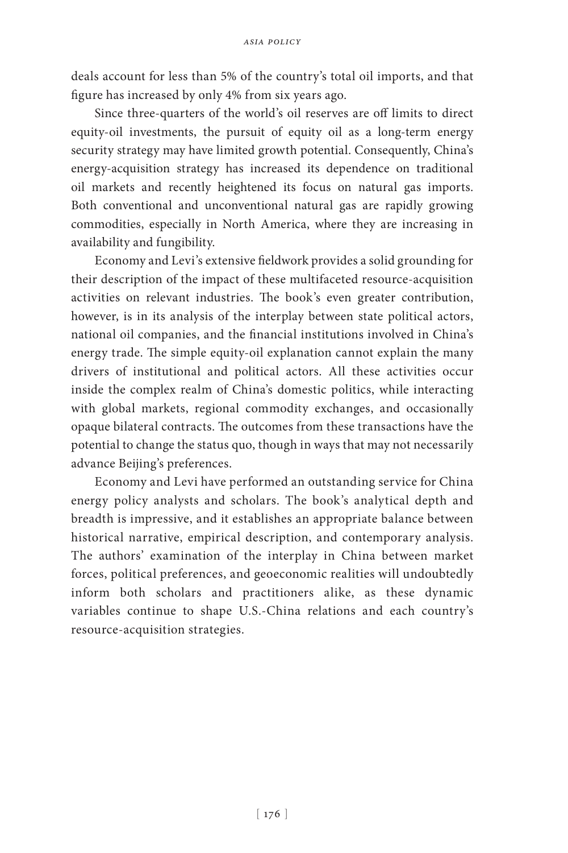deals account for less than 5% of the country's total oil imports, and that figure has increased by only 4% from six years ago.

Since three-quarters of the world's oil reserves are off limits to direct equity-oil investments, the pursuit of equity oil as a long-term energy security strategy may have limited growth potential. Consequently, China's energy-acquisition strategy has increased its dependence on traditional oil markets and recently heightened its focus on natural gas imports. Both conventional and unconventional natural gas are rapidly growing commodities, especially in North America, where they are increasing in availability and fungibility.

Economy and Levi's extensive fieldwork provides a solid grounding for their description of the impact of these multifaceted resource-acquisition activities on relevant industries. The book's even greater contribution, however, is in its analysis of the interplay between state political actors, national oil companies, and the financial institutions involved in China's energy trade. The simple equity-oil explanation cannot explain the many drivers of institutional and political actors. All these activities occur inside the complex realm of China's domestic politics, while interacting with global markets, regional commodity exchanges, and occasionally opaque bilateral contracts. The outcomes from these transactions have the potential to change the status quo, though in ways that may not necessarily advance Beijing's preferences.

Economy and Levi have performed an outstanding service for China energy policy analysts and scholars. The book's analytical depth and breadth is impressive, and it establishes an appropriate balance between historical narrative, empirical description, and contemporary analysis. The authors' examination of the interplay in China between market forces, political preferences, and geoeconomic realities will undoubtedly inform both scholars and practitioners alike, as these dynamic variables continue to shape U.S.-China relations and each country's resource-acquisition strategies.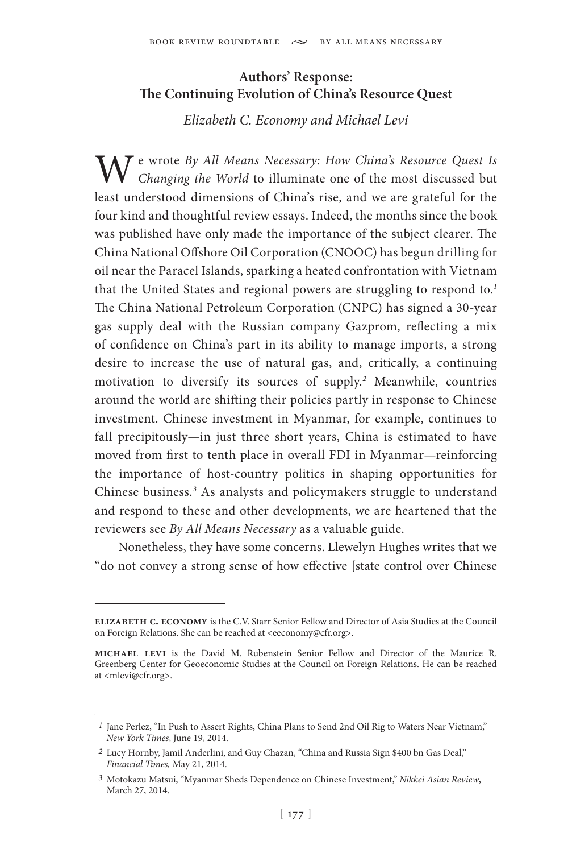### **Authors' Response: The Continuing Evolution of China's Resource Quest**

*Elizabeth C. Economy and Michael Levi*

We wrote *By All Means Necessary: How China's Resource Quest Is Changing the World* to illuminate one of the most discussed but least understood dimensions of China's rise, and we are grateful for the four kind and thoughtful review essays. Indeed, the months since the book was published have only made the importance of the subject clearer. The China National Offshore Oil Corporation (CNOOC) has begun drilling for oil near the Paracel Islands, sparking a heated confrontation with Vietnam that the United States and regional powers are struggling to respond to.*<sup>1</sup>* The China National Petroleum Corporation (CNPC) has signed a 30-year gas supply deal with the Russian company Gazprom, reflecting a mix of confidence on China's part in its ability to manage imports, a strong desire to increase the use of natural gas, and, critically, a continuing motivation to diversify its sources of supply.*<sup>2</sup>* Meanwhile, countries around the world are shifting their policies partly in response to Chinese investment. Chinese investment in Myanmar, for example, continues to fall precipitously—in just three short years, China is estimated to have moved from first to tenth place in overall FDI in Myanmar—reinforcing the importance of host-country politics in shaping opportunities for Chinese business.*<sup>3</sup>* As analysts and policymakers struggle to understand and respond to these and other developments, we are heartened that the reviewers see *By All Means Necessary* as a valuable guide.

Nonetheless, they have some concerns. Llewelyn Hughes writes that we "do not convey a strong sense of how effective [state control over Chinese

**elizabeth c. economy** is the C.V. Starr Senior Fellow and Director of Asia Studies at the Council on Foreign Relations. She can be reached at <eeconomy@cfr.org>.

**michael levi** is the David M. Rubenstein Senior Fellow and Director of the Maurice R. Greenberg Center for Geoeconomic Studies at the Council on Foreign Relations. He can be reached at <mlevi@cfr.org>.

<sup>&</sup>lt;sup>1</sup> Jane Perlez, "In Push to Assert Rights, China Plans to Send 2nd Oil Rig to Waters Near Vietnam," *New York Times*, June 19, 2014.

*<sup>2</sup>* Lucy Hornby, Jamil Anderlini, and Guy Chazan, "China and Russia Sign \$400 bn Gas Deal," *Financial Times,* May 21, 2014.

*<sup>3</sup>* Motokazu Matsui, "Myanmar Sheds Dependence on Chinese Investment," *Nikkei Asian Review*, March 27, 2014.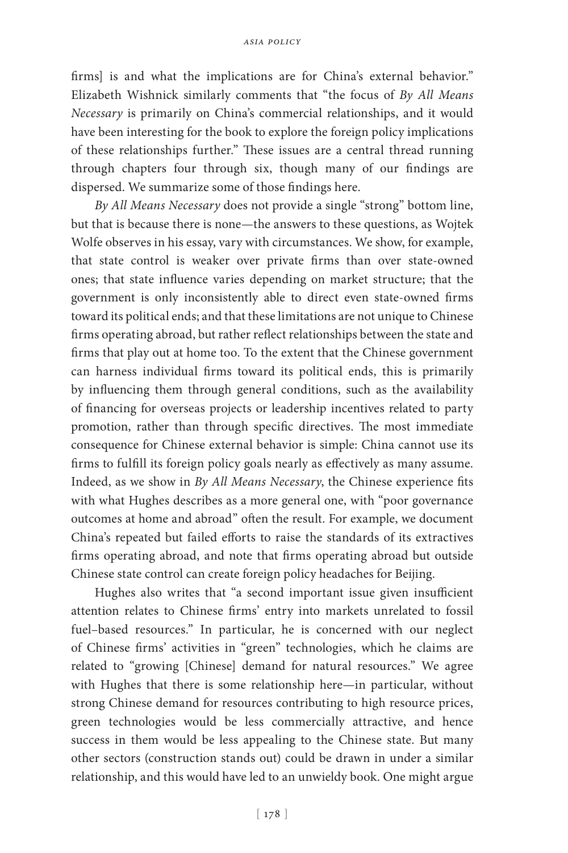firms] is and what the implications are for China's external behavior." Elizabeth Wishnick similarly comments that "the focus of *By All Means Necessary* is primarily on China's commercial relationships, and it would have been interesting for the book to explore the foreign policy implications of these relationships further." These issues are a central thread running through chapters four through six, though many of our findings are dispersed. We summarize some of those findings here.

*By All Means Necessary* does not provide a single "strong" bottom line, but that is because there is none—the answers to these questions, as Wojtek Wolfe observes in his essay, vary with circumstances. We show, for example, that state control is weaker over private firms than over state-owned ones; that state influence varies depending on market structure; that the government is only inconsistently able to direct even state-owned firms toward its political ends; and that these limitations are not unique to Chinese firms operating abroad, but rather reflect relationships between the state and firms that play out at home too. To the extent that the Chinese government can harness individual firms toward its political ends, this is primarily by influencing them through general conditions, such as the availability of financing for overseas projects or leadership incentives related to party promotion, rather than through specific directives. The most immediate consequence for Chinese external behavior is simple: China cannot use its firms to fulfill its foreign policy goals nearly as effectively as many assume. Indeed, as we show in *By All Means Necessary*, the Chinese experience fits with what Hughes describes as a more general one, with "poor governance outcomes at home and abroad" often the result. For example, we document China's repeated but failed efforts to raise the standards of its extractives firms operating abroad, and note that firms operating abroad but outside Chinese state control can create foreign policy headaches for Beijing.

Hughes also writes that "a second important issue given insufficient attention relates to Chinese firms' entry into markets unrelated to fossil fuel–based resources." In particular, he is concerned with our neglect of Chinese firms' activities in "green" technologies, which he claims are related to "growing [Chinese] demand for natural resources." We agree with Hughes that there is some relationship here—in particular, without strong Chinese demand for resources contributing to high resource prices, green technologies would be less commercially attractive, and hence success in them would be less appealing to the Chinese state. But many other sectors (construction stands out) could be drawn in under a similar relationship, and this would have led to an unwieldy book. One might argue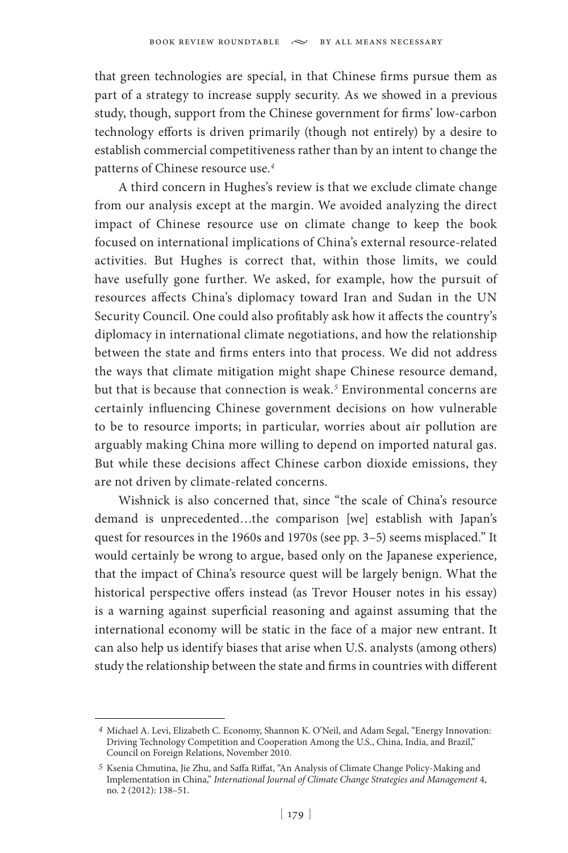that green technologies are special, in that Chinese firms pursue them as part of a strategy to increase supply security. As we showed in a previous study, though, support from the Chinese government for firms' low-carbon technology efforts is driven primarily (though not entirely) by a desire to establish commercial competitiveness rather than by an intent to change the patterns of Chinese resource use.*<sup>4</sup>*

A third concern in Hughes's review is that we exclude climate change from our analysis except at the margin. We avoided analyzing the direct impact of Chinese resource use on climate change to keep the book focused on international implications of China's external resource-related activities. But Hughes is correct that, within those limits, we could have usefully gone further. We asked, for example, how the pursuit of resources affects China's diplomacy toward Iran and Sudan in the UN Security Council. One could also profitably ask how it affects the country's diplomacy in international climate negotiations, and how the relationship between the state and firms enters into that process. We did not address the ways that climate mitigation might shape Chinese resource demand, but that is because that connection is weak.*<sup>5</sup>* Environmental concerns are certainly influencing Chinese government decisions on how vulnerable to be to resource imports; in particular, worries about air pollution are arguably making China more willing to depend on imported natural gas. But while these decisions affect Chinese carbon dioxide emissions, they are not driven by climate-related concerns.

Wishnick is also concerned that, since "the scale of China's resource demand is unprecedented…the comparison [we] establish with Japan's quest for resources in the 1960s and 1970s (see pp. 3–5) seems misplaced." It would certainly be wrong to argue, based only on the Japanese experience, that the impact of China's resource quest will be largely benign. What the historical perspective offers instead (as Trevor Houser notes in his essay) is a warning against superficial reasoning and against assuming that the international economy will be static in the face of a major new entrant. It can also help us identify biases that arise when U.S. analysts (among others) study the relationship between the state and firms in countries with different

*<sup>4</sup>* Michael A. Levi, Elizabeth C. Economy, Shannon K. O'Neil, and Adam Segal, "Energy Innovation: Driving Technology Competition and Cooperation Among the U.S., China, India, and Brazil," Council on Foreign Relations, November 2010.

*<sup>5</sup>* Ksenia Chmutina, Jie Zhu, and Saffa Riffat, "An Analysis of Climate Change Policy-Making and Implementation in China," *International Journal of Climate Change Strategies and Management* 4, no. 2 (2012): 138–51.